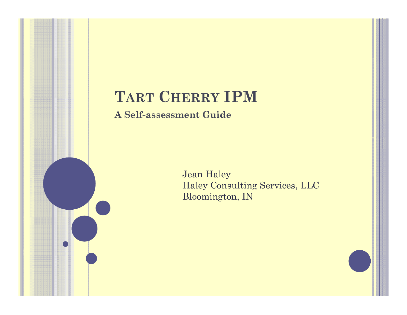#### **TART CHERRY IPM**

**A Self-assessment Guide**

Jean Haley Haley Consulting Services, LLC Bloomington, IN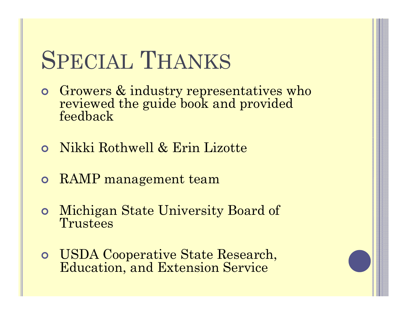# SPECIAL THANKS

- **•** Growers & industry representatives who reviewed the guide book and provided feedback
- $\mathbf O$ Nikki Rothwell & Erin Lizotte
- **o** RAMP management team
- $\bullet$ Michigan State University Board of Trustees
- **o** USDA Cooperative State Research, Education, and Extension Service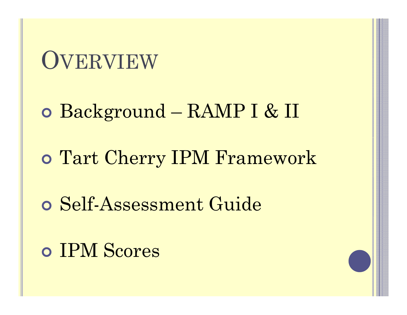#### OVERVIEW

Background – RAMP I & II

Tart Cherry IPM Framework

Self-Assessment Guide

IPM Scores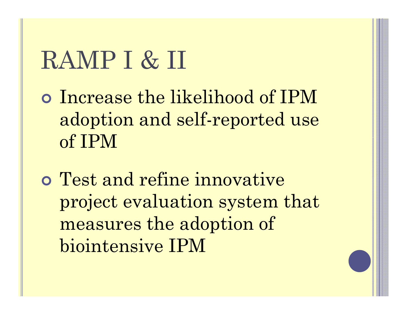# RAMP I & II

- Increase the likelihood of IPM adoption and self-reported use of IPM
- Test and refine innovative project evaluation system that measures the adoption of biointensive IPM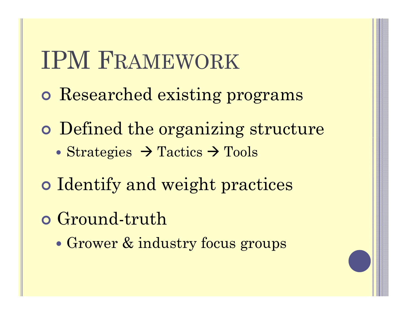## IPM FRAMEWORK

- Researched existing programs
- o Defined the organizing structure • Strategies  $\rightarrow$  Tactics  $\rightarrow$  Tools
- o Identify and weight practices
- **o** Ground-truth
	- $\bullet$ Grower & industry focus groups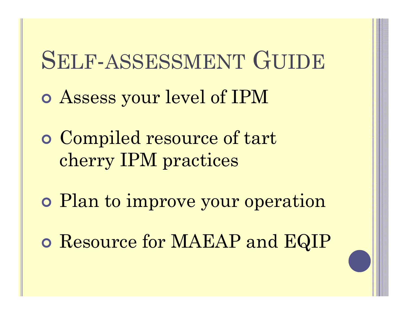#### SELF-ASSESSMENT GUIDE

- Assess your level of IPM
- Compiled resource of tart cherry IPM practices
- Plan to improve your operation
- Resource for MAEAP and EQIP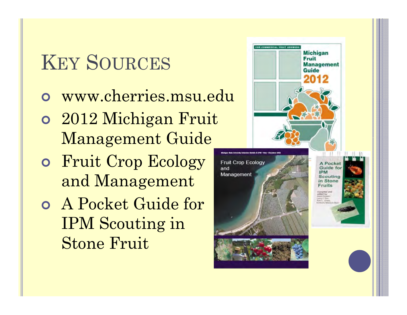#### KEY SOURCES

- www cherries msu edu www.cherries.msu.edu
- 2012 Michigan Fruit Management Guide
- Fruit Crop Ecology and Management
- A Pocket Guide for IPM Scouting in Stone Fruit

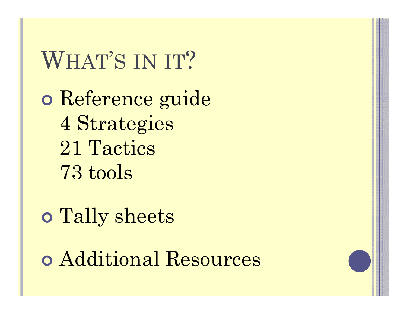WHAT'S IN IT? Reference guide 4 Strategies 21 Tactics 73 tools

 Tally sheets Additional Resources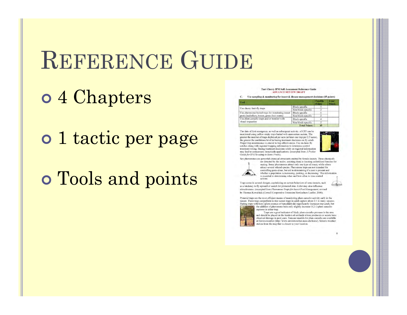## REFERENCE GUIDE

#### 4 Chapters

o 1 tactic per page

#### Tools and points

#### Tart Cherry IPM Self-Assessment Reference Guide **ADVANCE REVIEW DRAFT**

Use sampling & monitoring for insect & disease management decisions (15 points)

| Tool                                                             |                      | <b>Preside</b><br><b>Points</b> | <b>Youth</b><br><b>Points</b> |
|------------------------------------------------------------------|----------------------|---------------------------------|-------------------------------|
| Use cherry fruit-fly traps                                       | Block-specific       |                                 |                               |
|                                                                  | Non block-specific   |                                 |                               |
| Use pheromone-baited traps for monitoring insect                 | Block-specific       |                                 |                               |
| pests (leafrollers, borers, green fruit worm)                    | Non block-specific   |                                 |                               |
| Use plum curculio traps and/or monitor with<br>visual inspection | Block-specific       |                                 |                               |
|                                                                  | Non block-specific   |                                 |                               |
|                                                                  | <b>Tatal Painter</b> | 15                              |                               |

The date of first emergence, as well as subsequent activity, of CFF can be monitored using yellow sticky traps baited with ammonium acetate. The greater the number of traps deployed per acre (at least one trap per 2.5 acres),<br>the greater the confidence level in basing treatment decisions on fly catch. Proper trap maintenance is crucial to trap effectiveness. Use on-farm fly catches along with regional trapping information to determine control treatment timing. Basing treatment decisions solely on regional information may lead to unnecessary insecticide applications. (excerpted from A Pocket Guide for IPM Scouting in Stone Fruits).



Sex pheromones are powerful chemical attractants emitted by female insects. These chemicals



are detected by the males, assisting them in locating unfertilized females for mating. Some pheromones attract only one type of insect, while others attract several related species. Pheromone traps are not intended for controlling pests alone, but aid in determining if a pest is present and whether a population is increasing, peaking, or decreasing. This information is essential in determining when and how often to time control actions.

Traps come in several designs, capitalizing on certain behaviors of some insects, such as a tendency to fly upward or search for protected sites. Color may also influence attractiveness. (excerpted from Pheromone Traps for Insect Pest Management, revised by Thomas Kowalsick (Cornell Cooperative Extension Horticulture Leaflet, 2008).

Pyramid traps are the most efficient means of monitoring plum curculio activity early in the season. These traps outperform in-tree screen traps in adult capture about 2:1 in many seasons. Baiting traps with lures (plum essence or benzaldehyde) significantly increases trap catch, but the addition of pheromone baits only slightly increase (1.2:1) plum curculio captures in either trap.



Traps are a good indicator of likely plum curculio pressure in the area<br>and should be placed on the borders of orchards where producers or scouts have observed damage in past years. Forecast models for plum curculio are available at Enviro-weather (http://www.enviroweather.msu.edu/home). Select a weather station from the map that is closest to your location.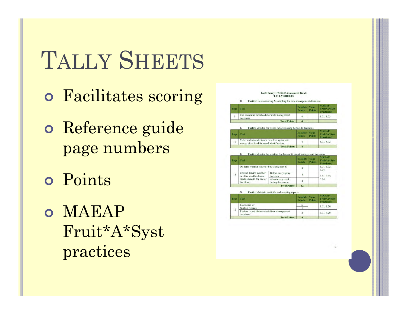# TALLY SHEETS

- Facilitates scoring
- o Reference guide page numbers
- o Points
- o MAEAP Fruit\*A\*Syst practices

|       | <b>Tart Cherry IPM Self Assessment Guide</b><br><b>TALLY SHEETS</b><br>Tactic: Use monitoring & sampling for mite management decisions<br>D. |                           |                       |                                             |
|-------|----------------------------------------------------------------------------------------------------------------------------------------------|---------------------------|-----------------------|---------------------------------------------|
| Page. | <b>Tool</b>                                                                                                                                  | Possible<br><b>Points</b> | Your<br><b>Points</b> | <b>MAEAP</b><br>Fruit*A*Svst<br>Practice(s) |
| 9     | Use economic thresholds for mite management<br>decisions                                                                                     | 4                         |                       | 3.01, 3.03                                  |
|       | <b>Total Points:</b>                                                                                                                         | $\overline{a}$            |                       |                                             |

| Page | Tool                                                                                      | Possible<br><b>Points</b> | Vour<br><b>Points</b> | <b>MAEAP</b><br>Fruit*A*Syst<br>Practice(s) |
|------|-------------------------------------------------------------------------------------------|---------------------------|-----------------------|---------------------------------------------|
| 10   | Make herbicide decisions based on systematic<br>survey of orchard for weed identification |                           |                       | 3.01, 3.02                                  |
|      | <b>Total Points:</b>                                                                      |                           |                       |                                             |

| Page                                    | Tool<br>On-farm weather station (4 pts each; max 8) |                                | <b>Possible</b><br><b>Points</b> | <b>Your</b><br><b>Points</b> | <b>MAEAP</b><br>Fruit*A*Syst<br>Practice(s) |
|-----------------------------------------|-----------------------------------------------------|--------------------------------|----------------------------------|------------------------------|---------------------------------------------|
|                                         |                                                     |                                | 8                                |                              | 3.01, 3.03,<br>3.04                         |
| 11                                      | Consult Enviro-weather<br>or other weather-based    | Before every spray<br>decision |                                  |                              | 3.01, 3.03,                                 |
| models (credit for one or<br>the other) | About every week<br>during the season               | $\overline{2}$                 |                                  | 3.04                         |                                             |
|                                         |                                                     | <b>Total Points:</b>           | 12                               |                              |                                             |

Tactic: Maintain pesticide and scouting reports

| Page. | Tool                                                       | <b><i>CONSTRUCTION</i></b><br><b>Points</b> | .<br><b>Points</b> | Fruit <sup>*</sup> A*Syst<br>Practice(s) |
|-------|------------------------------------------------------------|---------------------------------------------|--------------------|------------------------------------------|
|       | Electronic or                                              |                                             |                    | 3.01, 3.20                               |
| 12    | Written records                                            |                                             |                    |                                          |
|       | Review report histories to inform management<br>decisions' | $\overline{2}$                              |                    | 3.01, 3.20                               |
|       | <b>Total Points:</b>                                       | $\bf{8}$                                    |                    |                                          |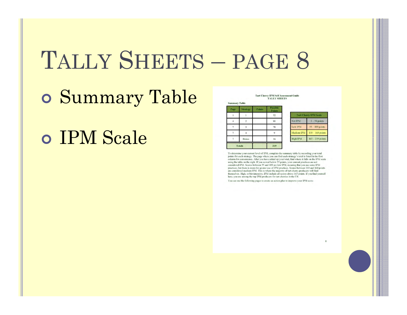#### TALLY SHEETS – PAGE 8

Summary Table

IPM Scale

**Tart Cherry IPM Self Assessment Guide<br>TALLY SHEETS** 

| Page           | <b>Strategy</b> | Points | Possible<br><b>Points</b> |
|----------------|-----------------|--------|---------------------------|
|                |                 |        | 52                        |
| $\overline{A}$ |                 |        | 80                        |
|                | 3               |        | 78                        |
| $7\phantom{.}$ | 4               |        | $\mathbf{Q}$              |
|                | Bonus           |        | 16                        |
|                | <b>Totals</b>   |        | 219                       |

| <b>Tart Cherry IPM Scale</b> |                    |  |  |
|------------------------------|--------------------|--|--|
| <b>Not IPM</b>               | $1 - 54$ points    |  |  |
| Low IPM                      | $55 - 109$ points  |  |  |
| Medium IPM                   | $110 - 164$ points |  |  |
| <b>High IPM</b>              | $165 - 219$ points |  |  |

To determine your current level of IPM, complete the summary table by recording your total points for each strategy. The page where you can find each strategy's total is listed in the first column for convenience. After you have added up your total, find where it falls on the IPM scale example on the right. If you secred below 55 points, your current practices are not<br>considered IPM. Scores between 55 and 109 are low IPM, meaning that you use some IPM practices, but there is room for greater use of IPM practices. Scores between 110 and 164 points are considered medium IPM. This is where the majority of tart cherry producers will find themselves. High, or bio-intensive, IPM include all scores above 165 points. If you find yourself here, you are among the top IPM producers for tart cherries in the US.

You can use the following pages to create an action plan to improve your IPM score.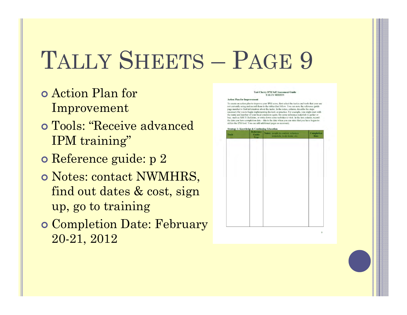# TALLY SHEETS – PAGE 9

- Action Plan for Improvement
- Tools: "Receive advanced IPM training"
- **o** Reference guide: p 2
- o Notes: contact NWMHRS, find out dates & cost, sign up, go to training
- **o** Completion Date: February 20-21, 2012

#### Tart Cherry IPM Self Assessment Guide **TALLY SHEETS**

#### **Action Plan for Improveme**

To create an action plan to improve your IPM score, first select the tactics and tools that your are not currently using and record them in the tables that follow. You can note the reference guide page number to find information about the tactic. In the notes, column, describe the steps ecessary for you to begin implementing the tool, or practice. For example, you might start with the name and number of your local extension agent, list some reference materials to gather or buy, such as MSUE Bulletins, or write down some websites to visit. In the last column, record the date you have completion date - this is the date when you can state that you have begun to utilize the IPM tool. You can add additional pages as necessary

| Tools | <b>Strategy 1: Knowledge &amp; Continuing Education</b><br>Reference<br><b>Guide</b><br>Page | Notes: people to contact, reference<br>materials, to-do items, etc. | <b>Completion</b><br>Date |
|-------|----------------------------------------------------------------------------------------------|---------------------------------------------------------------------|---------------------------|
|       |                                                                                              |                                                                     |                           |
|       |                                                                                              |                                                                     |                           |
|       |                                                                                              |                                                                     |                           |
|       |                                                                                              |                                                                     |                           |
|       |                                                                                              |                                                                     |                           |
|       |                                                                                              |                                                                     |                           |
|       |                                                                                              |                                                                     |                           |
|       |                                                                                              |                                                                     |                           |
|       |                                                                                              |                                                                     |                           |
|       |                                                                                              |                                                                     |                           |
|       |                                                                                              |                                                                     |                           |
|       |                                                                                              |                                                                     |                           |
|       |                                                                                              |                                                                     |                           |
|       |                                                                                              |                                                                     |                           |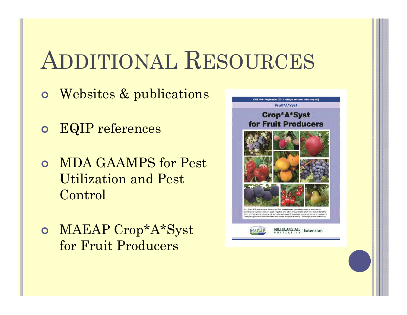# ADDITIONAL RESOURCES

- Websites & publications
- EQIP references
- MDA GAAMPS for Pest Utilization and Pest Control
- MAEAP Crop\*A\*Syst for Fruit Producers

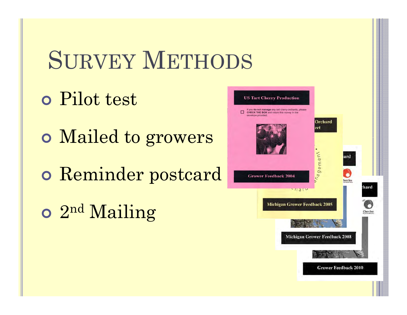# SURVEY METHODS

- Pilot test
- Mailed to growers
- Reminder postcard
- o 2<sup>nd</sup> Mailing

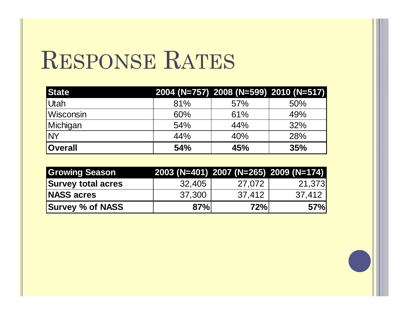### RESPONSE RATES

| <b>State</b>      |     |     | 2004 (N=757) 2008 (N=599) 2010 (N=517) |
|-------------------|-----|-----|----------------------------------------|
| Utah              | 81% | 57% | 50%                                    |
| <b>IWisconsin</b> | 60% | 61% | 49%                                    |
| Michigan          | 54% | 44% | 32%                                    |
| <b>NY</b>         | 44% | 40% | 28%                                    |
| <b>Overall</b>    | 54% | 45% | 35%                                    |

| <b>Growing Season</b>     |        | 2003 (N=401) 2007 (N=265) 2009 (N=174) |        |
|---------------------------|--------|----------------------------------------|--------|
| <b>Survey total acres</b> | 32.405 | 27,072                                 | 21.373 |
| <b>NASS acres</b>         | 37,300 | 37,412                                 | 37,412 |
| <b>Survey % of NASS</b>   | 87%    | 72%                                    | 57%    |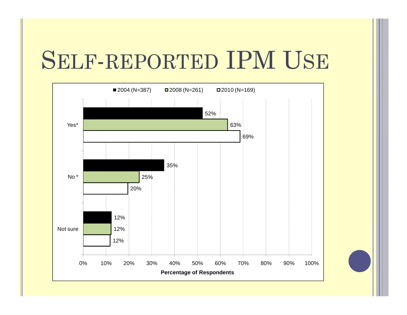## SELF-REPORTED IPM USE

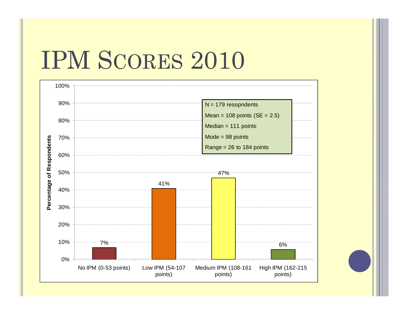### IPM SCORES 2010

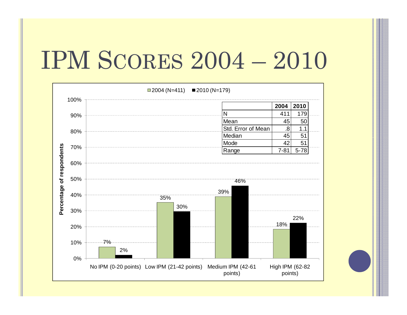## IPM SCORES 2004 - 2010

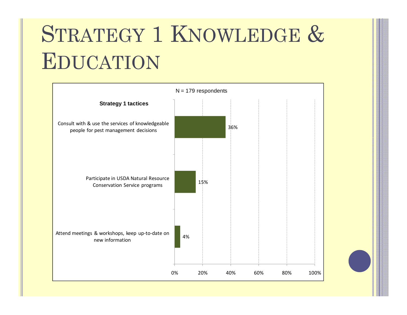# STRATEGY 1 KNOWLEDGE & EDUCATION

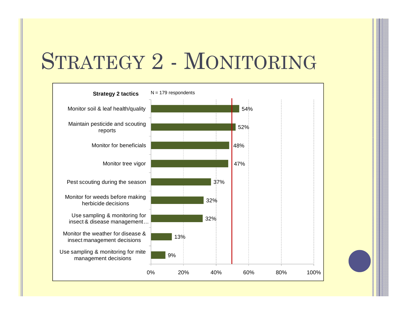#### STRATEGY 2 - MONITORING

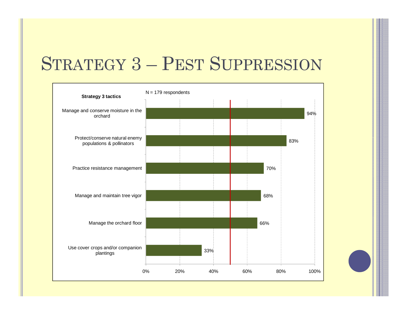#### STRATEGY 3 – PEST SUPPRESSION